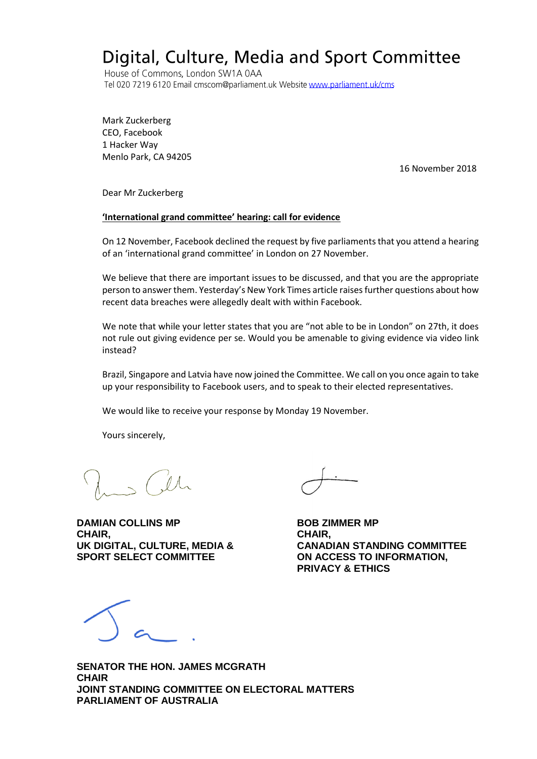## Digital, Culture, Media and Sport Committee

House of Commons, London SW1A 0AA Tel 020 7219 6120 Email cmscom@parliament.uk Website www.parliament.uk/cms

Mark Zuckerberg CEO, Facebook 1 Hacker Way Menlo Park, CA 94205

16 November 2018

Dear Mr Zuckerberg

## **'International grand committee' hearing: call for evidence**

On 12 November, Facebook declined the request by five parliaments that you attend a hearing of an 'international grand committee' in London on 27 November.

We believe that there are important issues to be discussed, and that you are the appropriate person to answer them. Yesterday's New York Times article raises further questions about how recent data breaches were allegedly dealt with within Facebook.

We note that while your letter states that you are "not able to be in London" on 27th, it does not rule out giving evidence per se. Would you be amenable to giving evidence via video link instead?

Brazil, Singapore and Latvia have now joined the Committee. We call on you once again to take up your responsibility to Facebook users, and to speak to their elected representatives.

We would like to receive your response by Monday 19 November.

Yours sincerely,

**DAMIAN COLLINS MP BOB ZIMMER MP CHAIR, CHAIR, SPORT SELECT COMMITTEE ON ACCESS TO INFORMATION,** 

**UK DIGITAL, CULTURE, MEDIA & CANADIAN STANDING COMMITTEE PRIVACY & ETHICS** 

**SENATOR THE HON. JAMES MCGRATH CHAIR JOINT STANDING COMMITTEE ON ELECTORAL MATTERS PARLIAMENT OF AUSTRALIA**